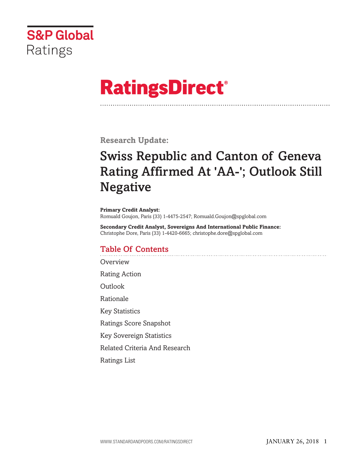

# **RatingsDirect®**

**Research Update:**

# **Swiss Republic and Canton of Geneva Rating Affirmed At 'AA-'; Outlook Still Negative**

**Primary Credit Analyst:** Romuald Goujon, Paris (33) 1-4475-2547; Romuald.Goujon@spglobal.com

**Secondary Credit Analyst, Sovereigns And International Public Finance:** Christophe Dore, Paris (33) 1-4420-6665; christophe.dore@spglobal.com

# **Table Of Contents**

**[Overview](#page-1-0)** 

Rating [Action](#page-1-0)

**[Outlook](#page-1-0)** 

[Rationale](#page-1-0)

Key [Statistics](#page-4-0)

Ratings Score [Snapshot](#page-5-0)

Key [Sovereign](#page-5-0) Statistics

Related Criteria And [Research](#page-5-0)

[Ratings](#page-6-0) List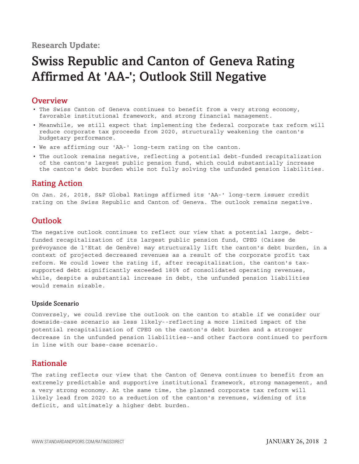# <span id="page-1-0"></span>**Research Update:**

# **Swiss Republic and Canton of Geneva Rating Affirmed At 'AA-'; Outlook Still Negative**

# **Overview**

- The Swiss Canton of Geneva continues to benefit from a very strong economy, favorable institutional framework, and strong financial management.
- Meanwhile, we still expect that implementing the federal corporate tax reform will reduce corporate tax proceeds from 2020, structurally weakening the canton's budgetary performance.
- We are affirming our 'AA-' long-term rating on the canton.
- The outlook remains negative, reflecting a potential debt-funded recapitalization of the canton's largest public pension fund, which could substantially increase the canton's debt burden while not fully solving the unfunded pension liabilities.

# **Rating Action**

On Jan. 26, 2018, S&P Global Ratings affirmed its 'AA-' long-term issuer credit rating on the Swiss Republic and Canton of Geneva. The outlook remains negative.

# **Outlook**

The negative outlook continues to reflect our view that a potential large, debtfunded recapitalization of its largest public pension fund, CPEG (Caisse de prévoyance de l'Etat de Genève) may structurally lift the canton's debt burden, in a context of projected decreased revenues as a result of the corporate profit tax reform. We could lower the rating if, after recapitalization, the canton's taxsupported debt significantly exceeded 180% of consolidated operating revenues, while, despite a substantial increase in debt, the unfunded pension liabilities would remain sizable.

#### **Upside Scenario**

Conversely, we could revise the outlook on the canton to stable if we consider our downside-case scenario as less likely--reflecting a more limited impact of the potential recapitalization of CPEG on the canton's debt burden and a stronger decrease in the unfunded pension liabilities--and other factors continued to perform in line with our base-case scenario.

# **Rationale**

The rating reflects our view that the Canton of Geneva continues to benefit from an extremely predictable and supportive institutional framework, strong management, and a very strong economy. At the same time, the planned corporate tax reform will likely lead from 2020 to a reduction of the canton's revenues, widening of its deficit, and ultimately a higher debt burden.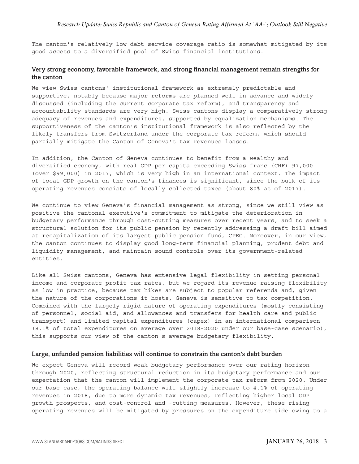The canton's relatively low debt service coverage ratio is somewhat mitigated by its good access to a diversified pool of Swiss financial institutions.

#### **Very strong economy, favorable framework, and strong financial management remain strengths for the canton**

We view Swiss cantons' institutional framework as extremely predictable and supportive, notably because major reforms are planned well in advance and widely discussed (including the current corporate tax reform), and transparency and accountability standards are very high. Swiss cantons display a comparatively strong adequacy of revenues and expenditures, supported by equalization mechanisms. The supportiveness of the canton's institutional framework is also reflected by the likely transfers from Switzerland under the corporate tax reform, which should partially mitigate the Canton of Geneva's tax revenues losses.

In addition, the Canton of Geneva continues to benefit from a wealthy and diversified economy, with real GDP per capita exceeding Swiss franc (CHF) 97,000 (over \$99,000) in 2017, which is very high in an international context. The impact of local GDP growth on the canton's finances is significant, since the bulk of its operating revenues consists of locally collected taxes (about 80% as of 2017).

We continue to view Geneva's financial management as strong, since we still view as positive the cantonal executive's commitment to mitigate the deterioration in budgetary performance through cost-cutting measures over recent years, and to seek a structural solution for its public pension by recently addressing a draft bill aimed at recapitalization of its largest public pension fund, CPEG. Moreover, in our view, the canton continues to display good long-term financial planning, prudent debt and liquidity management, and maintain sound controls over its government-related entities.

Like all Swiss cantons, Geneva has extensive legal flexibility in setting personal income and corporate profit tax rates, but we regard its revenue-raising flexibility as low in practice, because tax hikes are subject to popular referenda and, given the nature of the corporations it hosts, Geneva is sensitive to tax competition. Combined with the largely rigid nature of operating expenditures (mostly consisting of personnel, social aid, and allowances and transfers for health care and public transport) and limited capital expenditures (capex) in an international comparison (8.1% of total expenditures on average over 2018-2020 under our base-case scenario), this supports our view of the canton's average budgetary flexibility.

#### **Large, unfunded pension liabilities will continue to constrain the canton's debt burden**

We expect Geneva will record weak budgetary performance over our rating horizon through 2020, reflecting structural reduction in its budgetary performance and our expectation that the canton will implement the corporate tax reform from 2020. Under our base case, the operating balance will slightly increase to 4.1% of operating revenues in 2018, due to more dynamic tax revenues, reflecting higher local GDP growth prospects, and cost-control and -cutting measures. However, these rising operating revenues will be mitigated by pressures on the expenditure side owing to a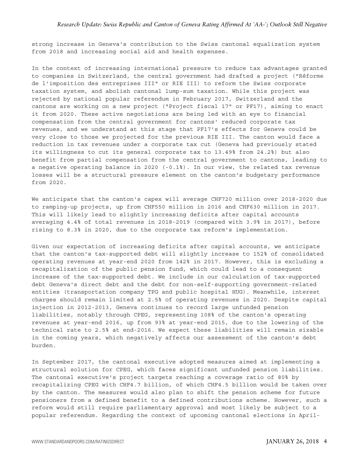strong increase in Geneva's contribution to the Swiss cantonal equalization system from 2018 and increasing social aid and health expenses.

In the context of increasing international pressure to reduce tax advantages granted to companies in Switzerland, the central government had drafted a project ("Réforme de l'imposition des entreprises III" or RIE III) to reform the Swiss corporate taxation system, and abolish cantonal lump-sum taxation. While this project was rejected by national popular referendum in February 2017, Switzerland and the cantons are working on a new project ("Project fiscal 17" or PF17), aiming to enact it from 2020. These active negotiations are being led with an eye to financial compensation from the central government for cantons' reduced corporate tax revenues, and we understand at this stage that PF17's effects for Geneva could be very close to those we projected for the previous RIE III. The canton would face a reduction in tax revenues under a corporate tax cut (Geneva had previously stated its willingness to cut its general corporate tax to 13.49% from 24.2%) but also benefit from partial compensation from the central government to cantons, leading to a negative operating balance in 2020 (-0.1%). In our view, the related tax revenue losses will be a structural pressure element on the canton's budgetary performance from 2020.

We anticipate that the canton's capex will average CHF720 million over 2018-2020 due to ramping-up projects, up from CHF550 million in 2016 and CHF630 million in 2017. This will likely lead to slightly increasing deficits after capital accounts averaging 4.4% of total revenues in 2018-2019 (compared with 3.9% in 2017), before rising to 8.3% in 2020, due to the corporate tax reform's implementation.

Given our expectation of increasing deficits after capital accounts, we anticipate that the canton's tax-supported debt will slightly increase to 152% of consolidated operating revenues at year-end 2020 from 142% in 2017. However, this is excluding a recapitalization of the public pension fund, which could lead to a consequent increase of the tax-supported debt. We include in our calculation of tax-supported debt Geneva's direct debt and the debt for non-self-supporting government-related entities (transportation company TPG and public hospital HUG). Meanwhile, interest charges should remain limited at 2.5% of operating revenues in 2020. Despite capital injection in 2012-2013, Geneva continues to record large unfunded pension liabilities, notably through CPEG, representing 108% of the canton's operating revenues at year-end 2016, up from 93% at year-end 2015, due to the lowering of the technical rate to 2.5% at end-2016. We expect these liabilities will remain sizable in the coming years, which negatively affects our assessment of the canton's debt burden.

In September 2017, the cantonal executive adopted measures aimed at implementing a structural solution for CPEG, which faces significant unfunded pension liabilities. The cantonal executive's project targets reaching a coverage ratio of 80% by recapitalizing CPEG with CHF4.7 billion, of which CHF4.5 billion would be taken over by the canton. The measures would also plan to shift the pension scheme for future pensioners from a defined benefit to a defined contributions scheme. However, such a reform would still require parliamentary approval and most likely be subject to a popular referendum. Regarding the context of upcoming cantonal elections in April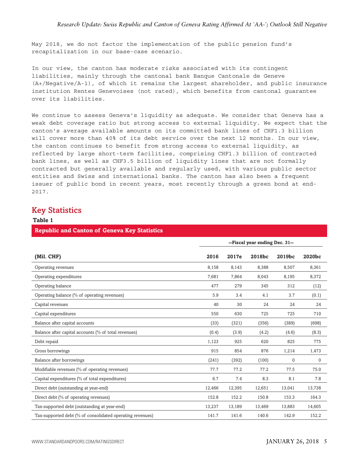<span id="page-4-0"></span>May 2018, we do not factor the implementation of the public pension fund's recapitalization in our base-case scenario.

In our view, the canton has moderate risks associated with its contingent liabilities, mainly through the cantonal bank Banque Cantonale de Geneve (A+/Negative/A-1), of which it remains the largest shareholder, and public insurance institution Rentes Genevoises (not rated), which benefits from cantonal guarantee over its liabilities.

We continue to assess Geneva's liquidity as adequate. We consider that Geneva has a weak debt coverage ratio but strong access to external liquidity. We expect that the canton's average available amounts on its committed bank lines of CHF1.3 billion will cover more than 40% of its debt service over the next 12 months. In our view, the canton continues to benefit from strong access to external liquidity, as reflected by large short-term facilities, comprising CHF1.3 billion of contracted bank lines, as well as CHF3.5 billion of liquidity lines that are not formally contracted but generally available and regularly used, with various public sector entities and Swiss and international banks. The canton has also been a frequent issuer of public bond in recent years, most recently through a green bond at end-2017.

### **Key Statistics**

| Table 1                                                   |                                |        |        |             |              |
|-----------------------------------------------------------|--------------------------------|--------|--------|-------------|--------------|
| <b>Republic and Canton of Geneva Key Statistics</b>       |                                |        |        |             |              |
|                                                           | --Fiscal year ending Dec. 31-- |        |        |             |              |
| (Mil. CHF)                                                | 2016                           | 2017e  | 2018bc | 2019bc      | 2020bc       |
| Operating revenues                                        | 8,158                          | 8,143  | 8,388  | 8,507       | 8,361        |
| Operating expenditures                                    | 7,681                          | 7,864  | 8,043  | 8,195       | 8,372        |
| Operating balance                                         | 477                            | 279    | 345    | 312         | (12)         |
| Operating balance (% of operating revenues)               | 5.9                            | 3.4    | 4.1    | 3.7         | (0.1)        |
| Capital revenues                                          | 40                             | 30     | 24     | 24          | 24           |
| Capital expenditures                                      | 550                            | 630    | 725    | 725         | 710          |
| Balance after capital accounts                            | (33)                           | (321)  | (356)  | (389)       | (698)        |
| Balance after capital accounts (% of total revenues)      | (0.4)                          | (3.9)  | (4.2)  | (4.6)       | (8.3)        |
| Debt repaid                                               | 1,123                          | 925    | 620    | 825         | 775          |
| Gross borrowings                                          | 915                            | 854    | 876    | 1,214       | 1,473        |
| Balance after borrowings                                  | (241)                          | (392)  | (100)  | $\mathbf 0$ | $\mathbf{0}$ |
| Modifiable revenues (% of operating revenues)             | 77.7                           | 77.2   | 77.2   | 77.5        | 75.0         |
| Capital expenditures (% of total expenditures)            | 6.7                            | 7.4    | 8.3    | 8.1         | 7.8          |
| Direct debt (outstanding at year-end)                     | 12,466                         | 12,395 | 12,651 | 13,041      | 13,738       |
| Direct debt (% of operating revenues)                     | 152.8                          | 152.2  | 150.8  | 153.3       | 164.3        |
| Tax-supported debt (outstanding at year-end)              | 13,237                         | 13,189 | 13,469 | 13,883      | 14,605       |
| Tax-supported debt (% of consolidated operating revenues) | 141.7                          | 141.6  | 140.6  | 142.9       | 152.2        |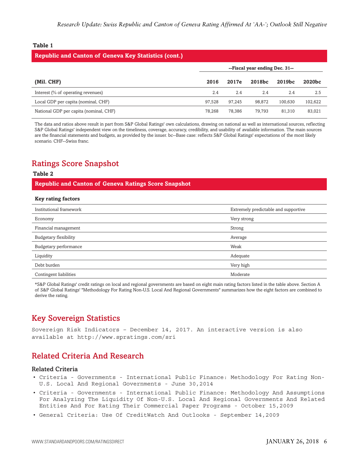#### <span id="page-5-0"></span>**Table 1**

#### **Republic and Canton of Geneva Key Statistics (cont.)**

|                                        | --Fiscal year ending Dec. 31-- |        |        |         |         |
|----------------------------------------|--------------------------------|--------|--------|---------|---------|
| (Mil. CHF)                             | 2016                           | 2017e  | 2018bc | 2019bc  | 2020bc  |
| Interest (% of operating revenues)     | 2.4                            | 2.4    | 2.4    | 2.4     | 2.5     |
| Local GDP per capita (nominal, CHF)    | 97.528                         | 97.245 | 98.872 | 100.630 | 102,622 |
| National GDP per capita (nominal, CHF) | 78.268                         | 78.386 | 79.793 | 81,310  | 83,021  |

The data and ratios above result in part from S&P Global Ratings' own calculations, drawing on national as well as international sources, reflecting S&P Global Ratings' independent view on the timeliness, coverage, accuracy, credibility, and usability of available information. The main sources are the financial statements and budgets, as provided by the issuer. bc--Base case: reflects S&P Global Ratings' expectations of the most likely scenario. CHF--Swiss franc.

# **Ratings Score Snapshot**

#### **Table 2**

**Republic and Canton of Geneva Ratings Score Snapshot**

#### **Key rating factors**

| Institutional framework | Extremely predictable and supportive |
|-------------------------|--------------------------------------|
| Economy                 | Very strong                          |
| Financial management    | Strong                               |
| Budgetary flexibility   | Average                              |
| Budgetary performance   | Weak                                 |
| Liquidity               | Adequate                             |
| Debt burden             | Very high                            |
| Contingent liabilities  | Moderate                             |

\*S&P Global Ratings' credit ratings on local and regional governments are based on eight main rating factors listed in the table above. Section A of S&P Global Ratings' "Methodology For Rating Non-U.S. Local And Regional Governments" summarizes how the eight factors are combined to derive the rating.

# **Key Sovereign Statistics**

Sovereign Risk Indicators – December 14, 2017. An interactive version is also available at http://www.spratings.com/sri

# **Related Criteria And Research**

#### **Related Criteria**

- Criteria Governments International Public Finance: Methodology For Rating Non-U.S. Local And Regional Governments - June 30,2014
- Criteria Governments International Public Finance: Methodology And Assumptions For Analyzing The Liquidity Of Non-U.S. Local And Regional Governments And Related Entities And For Rating Their Commercial Paper Programs - October 15,2009
- General Criteria: Use Of CreditWatch And Outlooks September 14,2009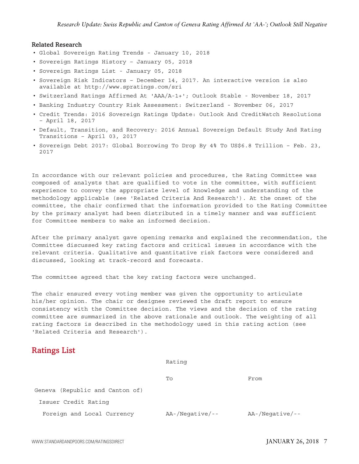#### <span id="page-6-0"></span>**Related Research**

- Global Sovereign Rating Trends January 10, 2018
- Sovereign Ratings History January 05, 2018
- Sovereign Ratings List January 05, 2018
- Sovereign Risk Indicators December 14, 2017. An interactive version is also available at http://www.spratings.com/sri
- Switzerland Ratings Affirmed At 'AAA/A-1+'; Outlook Stable November 18, 2017
- Banking Industry Country Risk Assessment: Switzerland November 06, 2017
- Credit Trends: 2016 Sovereign Ratings Update: Outlook And CreditWatch Resolutions – April 18, 2017
- Default, Transition, and Recovery: 2016 Annual Sovereign Default Study And Rating Transitions – April 03, 2017
- Sovereign Debt 2017: Global Borrowing To Drop By 4% To US\$6.8 Trillion Feb. 23, 2017

In accordance with our relevant policies and procedures, the Rating Committee was composed of analysts that are qualified to vote in the committee, with sufficient experience to convey the appropriate level of knowledge and understanding of the methodology applicable (see 'Related Criteria And Research'). At the onset of the committee, the chair confirmed that the information provided to the Rating Committee by the primary analyst had been distributed in a timely manner and was sufficient for Committee members to make an informed decision.

After the primary analyst gave opening remarks and explained the recommendation, the Committee discussed key rating factors and critical issues in accordance with the relevant criteria. Qualitative and quantitative risk factors were considered and discussed, looking at track-record and forecasts.

The committee agreed that the key rating factors were unchanged.

The chair ensured every voting member was given the opportunity to articulate his/her opinion. The chair or designee reviewed the draft report to ensure consistency with the Committee decision. The views and the decision of the rating committee are summarized in the above rationale and outlook. The weighting of all rating factors is described in the methodology used in this rating action (see 'Related Criteria and Research').

### **Ratings List**

|                                 | Rating             |                 |  |
|---------------------------------|--------------------|-----------------|--|
|                                 | To                 | From            |  |
| Geneva (Republic and Canton of) |                    |                 |  |
| Issuer Credit Rating            |                    |                 |  |
| Foreign and Local Currency      | $AA$ -/Negative/-- | AA-/Negative/-- |  |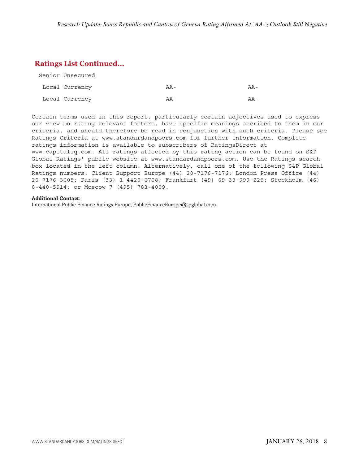# **Ratings List Continued...**

| Senior Unsecured |                   |                   |
|------------------|-------------------|-------------------|
| Local Currency   | $A -$             | $\Delta \Delta -$ |
| Local Currency   | $\Delta \Delta -$ | $\Delta \Delta -$ |

Certain terms used in this report, particularly certain adjectives used to express our view on rating relevant factors, have specific meanings ascribed to them in our criteria, and should therefore be read in conjunction with such criteria. Please see Ratings Criteria at www.standardandpoors.com for further information. Complete ratings information is available to subscribers of RatingsDirect at www.capitaliq.com. All ratings affected by this rating action can be found on S&P Global Ratings' public website at www.standardandpoors.com. Use the Ratings search box located in the left column. Alternatively, call one of the following S&P Global Ratings numbers: Client Support Europe (44) 20-7176-7176; London Press Office (44) 20-7176-3605; Paris (33) 1-4420-6708; Frankfurt (49) 69-33-999-225; Stockholm (46) 8-440-5914; or Moscow 7 (495) 783-4009.

#### **Additional Contact:**

International Public Finance Ratings Europe; PublicFinanceEurope@spglobal.com